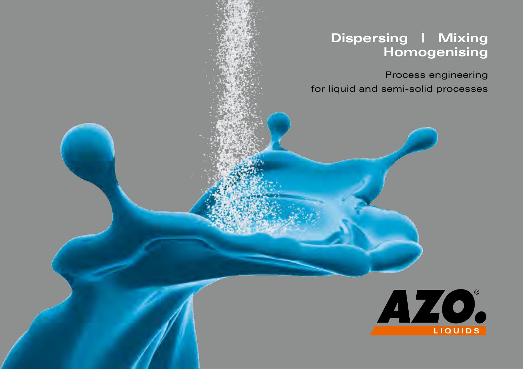# **Dispersing | Mixing Homogenising**

Process engineering for liquid and semi-solid processes

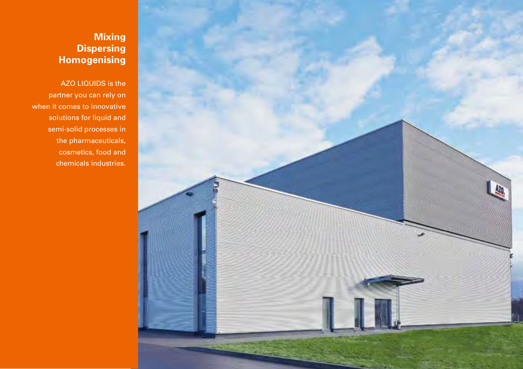

## **Mixing Dispersing Homogenising**

AZO LIQUIDS is the partner you can rely on when it comes to innovative solutions for liquid and semi-solid processes in the pharmaceuticals, cosmetics, food and chemicals industries.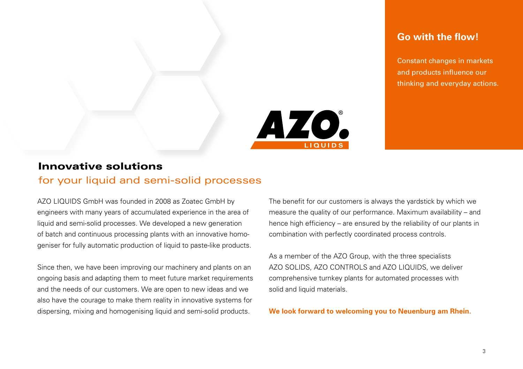### **Go with the flow!**

Constant changes in markets and products influence our thinking and everyday actions.



#### Innovative solutions

#### for your liquid and semi-solid processes

AZO LIQUIDS GmbH was founded in 2008 as Zoatec GmbH by engineers with many years of accumulated experience in the area of liquid and semi-solid processes. We developed a new generation of batch and continuous processing plants with an innovative homogeniser for fully automatic production of liquid to paste-like products.

Since then, we have been improving our machinery and plants on an ongoing basis and adapting them to meet future market requirements and the needs of our customers. We are open to new ideas and we also have the courage to make them reality in innovative systems for dispersing, mixing and homogenising liquid and semi-solid products.

The benefit for our customers is always the yardstick by which we measure the quality of our performance. Maximum availability – and hence high efficiency – are ensured by the reliability of our plants in combination with perfectly coordinated process controls.

As a member of the AZO Group, with the three specialists AZO SOLIDS, AZO CONTROLS and AZO LIQUIDS, we deliver comprehensive turnkey plants for automated processes with solid and liquid materials.

**We look forward to welcoming you to Neuenburg am Rhein.**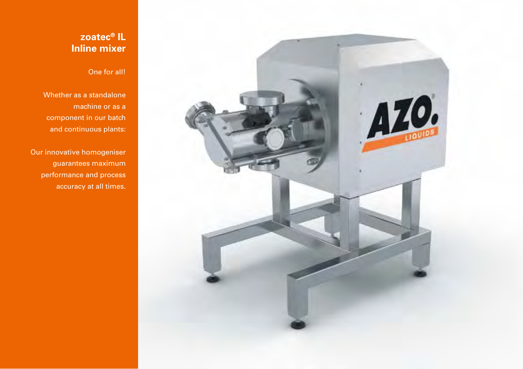

## **zoatec® IL Inline mixer**

#### One for all!

Whether as a standalone machine or as a component in our batch and continuous plants:

Our innovative homogeniser guarantees maximum performance and process accuracy at all times.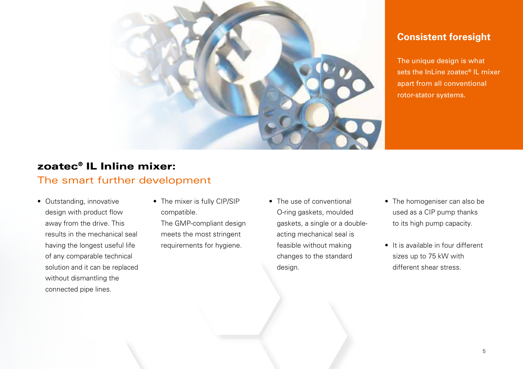

## **Consistent foresight**

The unique design is what sets the InLine zoatec<sup>®</sup> IL mixer apart from all conventional rotor-stator systems.

## zoatec® IL Inline mixer:

### The smart further development

- Outstanding, innovative design with product flow away from the drive. This results in the mechanical seal having the longest useful life of any comparable technical solution and it can be replaced without dismantling the connected pipe lines.
- The mixer is fully CIP/SIP compatible.

The GMP-compliant design meets the most stringent requirements for hygiene.

- The use of conventional O-ring gaskets, moulded gaskets, a single or a doubleacting mechanical seal is feasible without making changes to the standard design.
- The homogeniser can also be used as a CIP pump thanks to its high pump capacity.
- It is available in four different sizes up to 75 kW with different shear stress.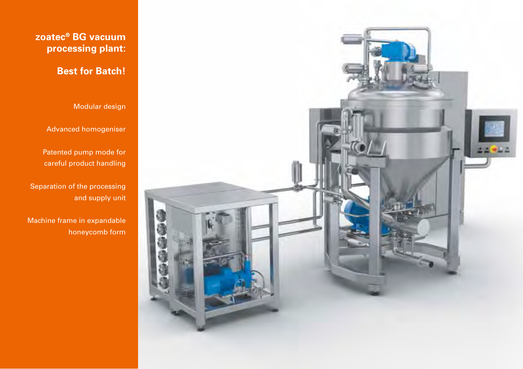

## **zoatec® BG vacuum processing plant:**

# **Best for Batch!**

Modular design

Advanced homogeniser

Patented pump mode for careful product handling

Separation of the processing and supply unit

Machine frame in expandable honeycomb form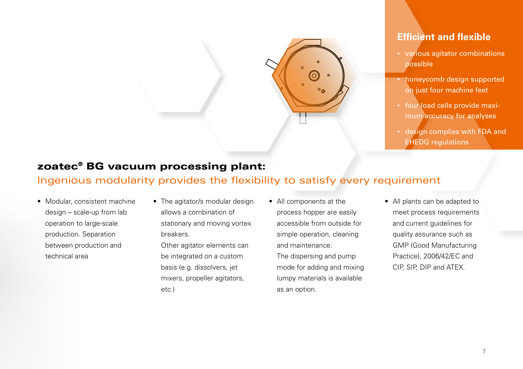

### **Efficient and flexible**

- various agitator combinations possible
- honeycomb design supported on just four machine feet
- four load cells provide maximum accuracy for analyses
- design complies with FDA and EHEDG regulations

# zoatec® BG vacuum processing plant:

## Ingenious modularity provides the flexibility to satisfy every requirement

- Modular, consistent machine design – scale-up from lab operation to large-scale production. Separation between production and technical area
- The agitator/s modular design allows a combination of stationary and moving vortex breakers. Other agitator elements can be integrated on a custom basis (e.g. dissolvers, jet mixers, propeller agitators, etc.)
- All components at the process hopper are easily accessible from outside for simple operation, cleaning and maintenance.

The dispersing and pump mode for adding and mixing lumpy materials is available as an option.

• All plants can be adapted to meet process requirements and current guidelines for quality assurance such as GMP (Good Manufacturing Practice), 2006/42/EC and CIP, SIP, DIP and ATEX.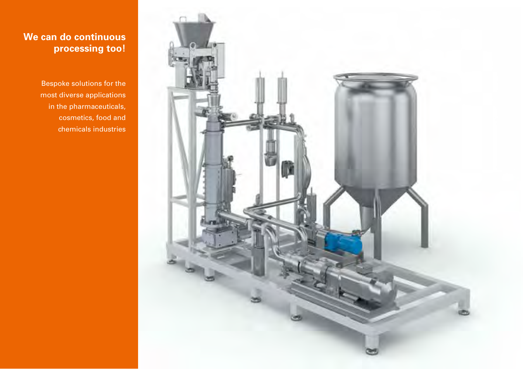

## **We can do continuous processing too!**

Bespoke solutions for the most diverse applications in the pharmaceuticals, cosmetics, food and chemicals industries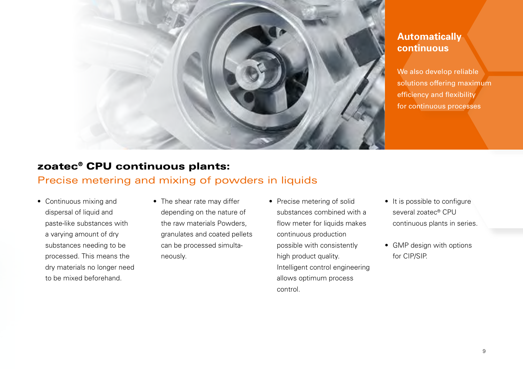

### **Automatically continuous**

We also develop reliable solutions offering maximum efficiency and flexibility for continuous processes

## zoatec® CPU continuous plants:

#### Precise metering and mixing of powders in liquids

- Continuous mixing and dispersal of liquid and paste-like substances with a varying amount of dry substances needing to be processed. This means the dry materials no longer need to be mixed beforehand.
- The shear rate may differ depending on the nature of the raw materials Powders, granulates and coated pellets can be processed simultaneously.
- Precise metering of solid substances combined with a flow meter for liquids makes continuous production possible with consistently high product quality. Intelligent control engineering allows optimum process control.
- It is possible to configure several zoatec® CPU continuous plants in series.
- GMP design with options for CIP/SIP.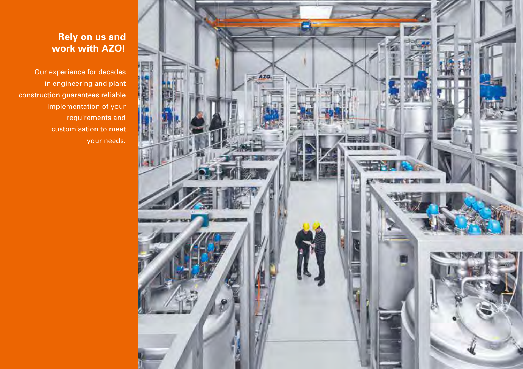

## **Rely on us and work with AZO!**

Our experience for decades in engineering and plant construction guarantees reliable implementation of your requirements and customisation to meet your needs.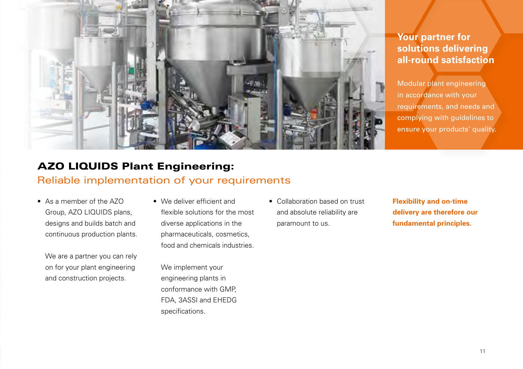

## **Your partner for solutions delivering all-round satisfaction**

Modular plant engineering in accordance with your requirements, and needs and complying with guidelines to ensure your products' quality.

# AZO LIQUIDS Plant Engineering:

#### Reliable implementation of your requirements

• As a member of the AZO Group, AZO LIQUIDS plans, designs and builds batch and continuous production plants.

We are a partner you can rely on for your plant engineering and construction projects.

• We deliver efficient and flexible solutions for the most diverse applications in the pharmaceuticals, cosmetics, food and chemicals industries.

We implement your engineering plants in conformance with GMP, FDA, 3ASSI and EHEDG specifications.

• Collaboration based on trust and absolute reliability are paramount to us.

**Flexibility and on-time delivery are therefore our fundamental principles.**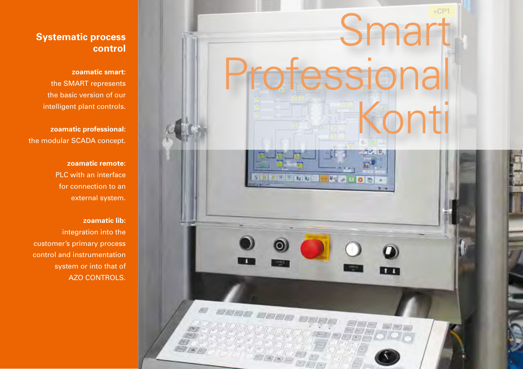

### **Systematic process control**

**zoamatic smart:** 

the SMART represents the basic version of our intelligent plant controls.

**zoamatic professional:** the modular SCADA concept.

> **zoamatic remote:** PLC with an interface for connection to an external system.

> > **zoamatic lib:** integration into the

customer's primary process control and instrumentation system or into that of AZO CONTROLS.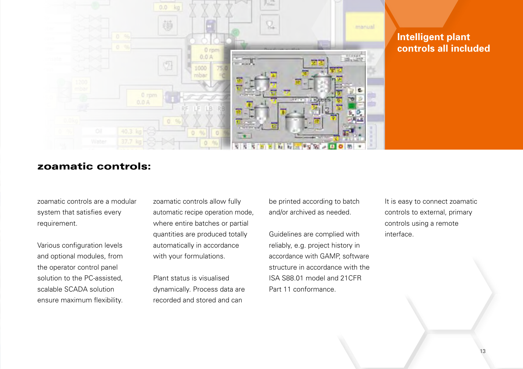

## **Intelligent plant controls all included**

### zoamatic controls:

zoamatic controls are a modular system that satisfies every requirement.

Various configuration levels and optional modules, from the operator control panel solution to the PC-assisted, scalable SCADA solution ensure maximum flexibility. zoamatic controls allow fully automatic recipe operation mode, where entire batches or partial quantities are produced totally automatically in accordance with your formulations.

Plant status is visualised dynamically. Process data are recorded and stored and can

be printed according to batch and/or archived as needed.

Guidelines are complied with reliably, e.g. project history in accordance with GAMP, software structure in accordance with the ISA S88.01 model and 21CFR Part 11 conformance.

It is easy to connect zoamatic controls to external, primary controls using a remote interface.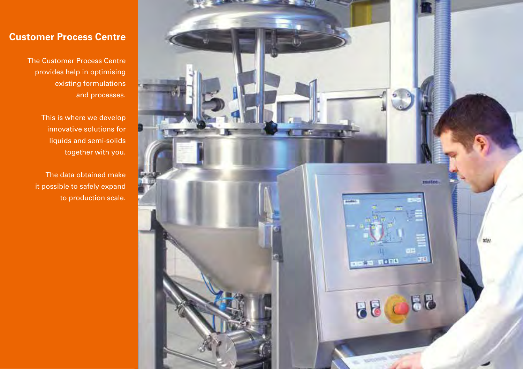### **Customer Process Centre**

The Customer Process Centre provides help in optimising existing formulations and processes.

> This is where we develop innovative solutions for liquids and semi-solids together with you.

The data obtained make it possible to safely expand to production scale.

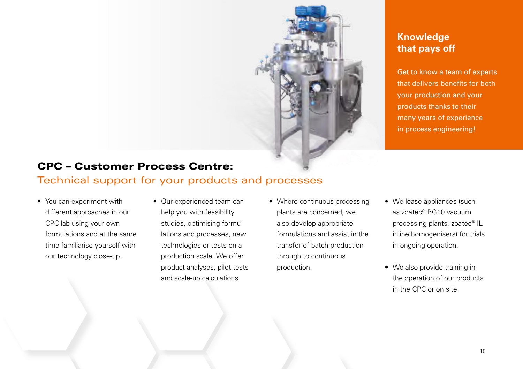

## **Knowledge that pays off**

Get to know a team of experts that delivers benefits for both your production and your products thanks to their many years of experience in process engineering!

## CPC – Customer Process Centre:

## Technical support for your products and processes

- You can experiment with different approaches in our CPC lab using your own formulations and at the same time familiarise yourself with our technology close-up.
- Our experienced team can help you with feasibility studies, optimising formulations and processes, new technologies or tests on a production scale. We offer product analyses, pilot tests and scale-up calculations.
- Where continuous processing plants are concerned, we also develop appropriate formulations and assist in the transfer of batch production through to continuous production.
- We lease appliances (such as zoatec® BG10 vacuum processing plants, zoatec® IL inline homogenisers) for trials in ongoing operation.
- We also provide training in the operation of our products in the CPC or on site.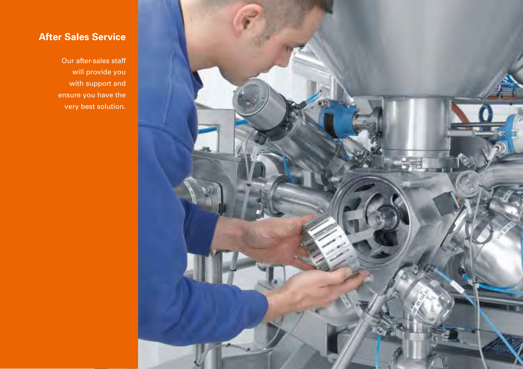

# **After Sales Service**

Our after-sales staff will provide you with support and ensure you have the very best solution.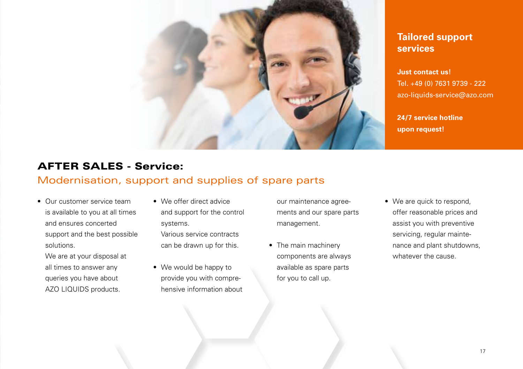

## **Tailored support services**

**Just contact us!** Tel. +49 (0) 7631 9739 - 222 azo-liquids-service@azo.com

**24/7 service hotline upon request!**

# AFTER SALES - Service:

#### Modernisation, support and supplies of spare parts

• Our customer service team is available to you at all times and ensures concerted support and the best possible solutions.

We are at your disposal at all times to answer any queries you have about AZO LIQUIDS products.

- We offer direct advice and support for the control systems. Various service contracts can be drawn up for this.
- We would be happy to provide you with comprehensive information about

our maintenance agreements and our spare parts management.

- The main machinery components are always available as spare parts for you to call up.
- We are quick to respond, offer reasonable prices and assist you with preventive servicing, regular maintenance and plant shutdowns, whatever the cause.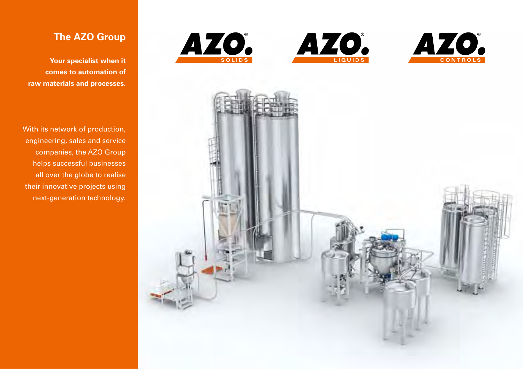





## **The AZO Group**

**Your specialist when it comes to automation of raw materials and processes.** 

With its network of production, engineering, sales and service companies, the AZO Group helps successful businesses all over the globe to realise their innovative projects using next-generation technology.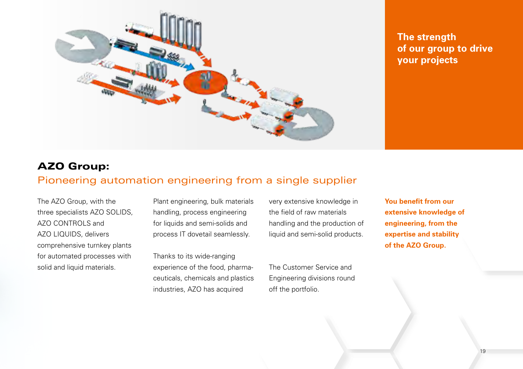

**The strength of our group to drive your projects**

## AZO Group:

#### Pioneering automation engineering from a single supplier

The AZO Group, with the three specialists AZO SOLIDS, AZO CONTROLS and AZO LIQUIDS, delivers comprehensive turnkey plants for automated processes with solid and liquid materials.

Plant engineering, bulk materials handling, process engineering for liquids and semi-solids and process IT dovetail seamlessly.

Thanks to its wide-ranging experience of the food, pharmaceuticals, chemicals and plastics industries, AZO has acquired

very extensive knowledge in the field of raw materials handling and the production of liquid and semi-solid products.

The Customer Service and Engineering divisions round off the portfolio.

**You benefit from our extensive knowledge of engineering, from the expertise and stability of the AZO Group.**